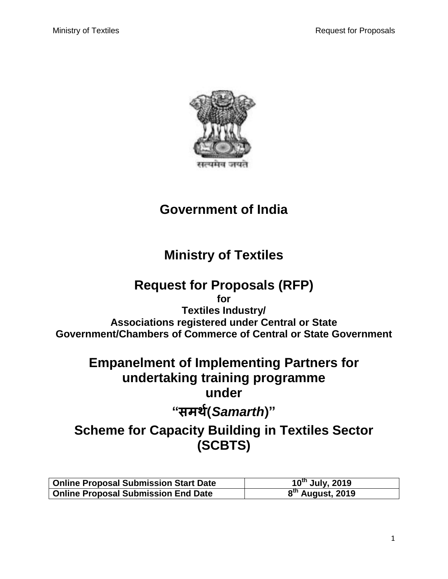

# **Government of India**

# **Ministry of Textiles**

# **Request for Proposals (RFP)**

**for Textiles Industry/ Associations registered under Central or State Government/Chambers of Commerce of Central or State Government**

# **Empanelment of Implementing Partners for undertaking training programme under**

# **"समर्थ(***Samarth***)"**

# **Scheme for Capacity Building in Textiles Sector (SCBTS)**

| <b>Online Proposal Submission Start Date</b> | $10^{th}$ July, 2019         |
|----------------------------------------------|------------------------------|
| <b>Online Proposal Submission End Date</b>   | 8 <sup>th</sup> August, 2019 |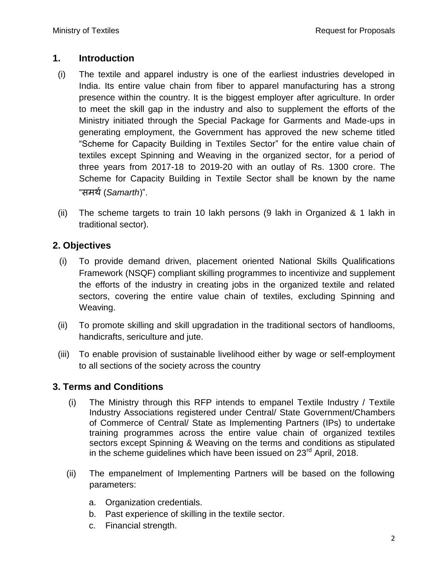#### **1. Introduction**

- (i) The textile and apparel industry is one of the earliest industries developed in India. Its entire value chain from fiber to apparel manufacturing has a strong presence within the country. It is the biggest employer after agriculture. In order to meet the skill gap in the industry and also to supplement the efforts of the Ministry initiated through the Special Package for Garments and Made-ups in generating employment, the Government has approved the new scheme titled "Scheme for Capacity Building in Textiles Sector" for the entire value chain of textiles except Spinning and Weaving in the organized sector, for a period of three years from 2017-18 to 2019-20 with an outlay of Rs. 1300 crore. The Scheme for Capacity Building in Textile Sector shall be known by the name "समर्थ(*Samarth*)".
- (ii) The scheme targets to train 10 lakh persons (9 lakh in Organized & 1 lakh in traditional sector).

### **2. Objectives**

- (i) To provide demand driven, placement oriented National Skills Qualifications Framework (NSQF) compliant skilling programmes to incentivize and supplement the efforts of the industry in creating jobs in the organized textile and related sectors, covering the entire value chain of textiles, excluding Spinning and Weaving.
- (ii) To promote skilling and skill upgradation in the traditional sectors of handlooms, handicrafts, sericulture and jute.
- (iii) To enable provision of sustainable livelihood either by wage or self-employment to all sections of the society across the country

### **3. Terms and Conditions**

- (i) The Ministry through this RFP intends to empanel Textile Industry / Textile Industry Associations registered under Central/ State Government/Chambers of Commerce of Central/ State as Implementing Partners (IPs) to undertake training programmes across the entire value chain of organized textiles sectors except Spinning & Weaving on the terms and conditions as stipulated in the scheme guidelines which have been issued on  $23<sup>rd</sup>$  April, 2018.
- (ii) The empanelment of Implementing Partners will be based on the following parameters:
	- a. Organization credentials.
	- b. Past experience of skilling in the textile sector.
	- c. Financial strength.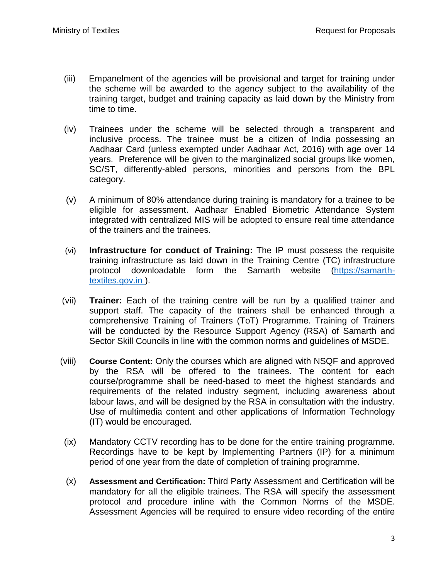- (iii) Empanelment of the agencies will be provisional and target for training under the scheme will be awarded to the agency subject to the availability of the training target, budget and training capacity as laid down by the Ministry from time to time.
- (iv) Trainees under the scheme will be selected through a transparent and inclusive process. The trainee must be a citizen of India possessing an Aadhaar Card (unless exempted under Aadhaar Act, 2016) with age over 14 years. Preference will be given to the marginalized social groups like women, SC/ST, differently-abled persons, minorities and persons from the BPL category.
- (v) A minimum of 80% attendance during training is mandatory for a trainee to be eligible for assessment. Aadhaar Enabled Biometric Attendance System integrated with centralized MIS will be adopted to ensure real time attendance of the trainers and the trainees.
- (vi) **Infrastructure for conduct of Training:** The IP must possess the requisite training infrastructure as laid down in the Training Centre (TC) infrastructure protocol downloadable form the Samarth website (https://samarthtextiles.gov.in ).
- (vii) **Trainer:** Each of the training centre will be run by a qualified trainer and support staff. The capacity of the trainers shall be enhanced through a comprehensive Training of Trainers (ToT) Programme. Training of Trainers will be conducted by the Resource Support Agency (RSA) of Samarth and Sector Skill Councils in line with the common norms and guidelines of MSDE.
- (viii) **Course Content:** Only the courses which are aligned with NSQF and approved by the RSA will be offered to the trainees. The content for each course/programme shall be need-based to meet the highest standards and requirements of the related industry segment, including awareness about labour laws, and will be designed by the RSA in consultation with the industry. Use of multimedia content and other applications of Information Technology (IT) would be encouraged.
- (ix) Mandatory CCTV recording has to be done for the entire training programme. Recordings have to be kept by Implementing Partners (IP) for a minimum period of one year from the date of completion of training programme.
- (x) **Assessment and Certification:** Third Party Assessment and Certification will be mandatory for all the eligible trainees. The RSA will specify the assessment protocol and procedure inline with the Common Norms of the MSDE. Assessment Agencies will be required to ensure video recording of the entire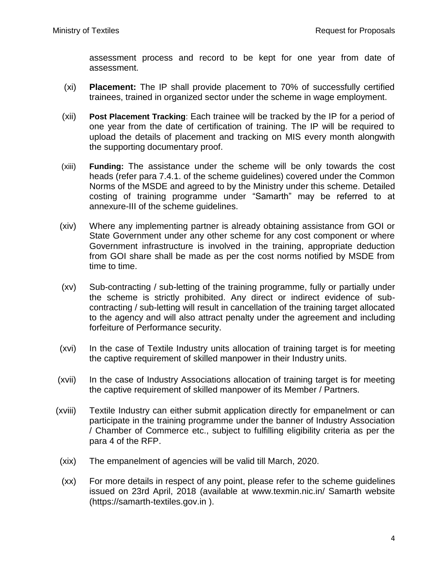assessment process and record to be kept for one year from date of assessment.

- (xi) **Placement:** The IP shall provide placement to 70% of successfully certified trainees, trained in organized sector under the scheme in wage employment.
- (xii) **Post Placement Tracking**: Each trainee will be tracked by the IP for a period of one year from the date of certification of training. The IP will be required to upload the details of placement and tracking on MIS every month alongwith the supporting documentary proof.
- (xiii) **Funding:** The assistance under the scheme will be only towards the cost heads (refer para 7.4.1. of the scheme guidelines) covered under the Common Norms of the MSDE and agreed to by the Ministry under this scheme. Detailed costing of training programme under "Samarth" may be referred to at annexure-III of the scheme guidelines.
- (xiv) Where any implementing partner is already obtaining assistance from GOI or State Government under any other scheme for any cost component or where Government infrastructure is involved in the training, appropriate deduction from GOI share shall be made as per the cost norms notified by MSDE from time to time.
- (xv) Sub-contracting / sub-letting of the training programme, fully or partially under the scheme is strictly prohibited. Any direct or indirect evidence of subcontracting / sub-letting will result in cancellation of the training target allocated to the agency and will also attract penalty under the agreement and including forfeiture of Performance security.
- (xvi) In the case of Textile Industry units allocation of training target is for meeting the captive requirement of skilled manpower in their Industry units.
- (xvii) In the case of Industry Associations allocation of training target is for meeting the captive requirement of skilled manpower of its Member / Partners.
- (xviii) Textile Industry can either submit application directly for empanelment or can participate in the training programme under the banner of Industry Association / Chamber of Commerce etc., subject to fulfilling eligibility criteria as per the para 4 of the RFP.
	- (xix) The empanelment of agencies will be valid till March, 2020.
	- (xx) For more details in respect of any point, please refer to the scheme guidelines issued on 23rd April, 2018 (available at www.texmin.nic.in/ Samarth website (https://samarth-textiles.gov.in ).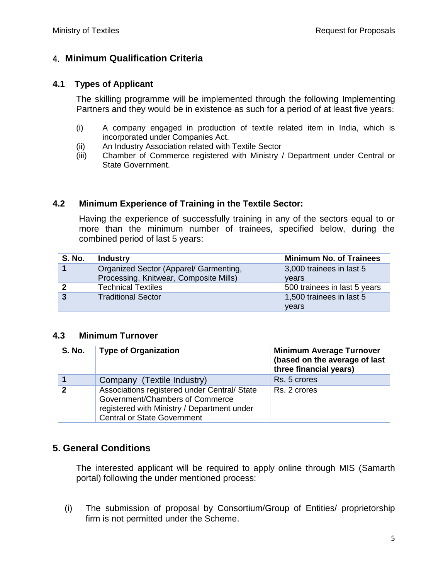### 4. **Minimum Qualification Criteria**

#### **4.1 Types of Applicant**

The skilling programme will be implemented through the following Implementing Partners and they would be in existence as such for a period of at least five years:

- (i) A company engaged in production of textile related item in India, which is incorporated under Companies Act.
- (ii) An Industry Association related with Textile Sector
- (iii) Chamber of Commerce registered with Ministry / Department under Central or State Government.

#### **4.2 Minimum Experience of Training in the Textile Sector:**

Having the experience of successfully training in any of the sectors equal to or more than the minimum number of trainees, specified below, during the combined period of last 5 years:

| <b>S. No.</b>  | <b>Industry</b>                        | <b>Minimum No. of Trainees</b> |  |
|----------------|----------------------------------------|--------------------------------|--|
|                | Organized Sector (Apparel/ Garmenting, | 3,000 trainees in last 5       |  |
|                | Processing, Knitwear, Composite Mills) | years                          |  |
| $\mathbf 2$    | <b>Technical Textiles</b>              | 500 trainees in last 5 years   |  |
| $\overline{3}$ | <b>Traditional Sector</b>              | 1,500 trainees in last 5       |  |
|                |                                        | years                          |  |

#### **4.3 Minimum Turnover**

| <b>S. No.</b> | <b>Type of Organization</b>                                                                                                                                          | <b>Minimum Average Turnover</b><br>(based on the average of last<br>three financial years) |
|---------------|----------------------------------------------------------------------------------------------------------------------------------------------------------------------|--------------------------------------------------------------------------------------------|
|               | Company (Textile Industry)                                                                                                                                           | Rs. 5 crores                                                                               |
|               | Associations registered under Central/ State<br>Government/Chambers of Commerce<br>registered with Ministry / Department under<br><b>Central or State Government</b> | Rs. 2 crores                                                                               |

### **5. General Conditions**

The interested applicant will be required to apply online through MIS (Samarth portal) following the under mentioned process:

(i) The submission of proposal by Consortium/Group of Entities/ proprietorship firm is not permitted under the Scheme.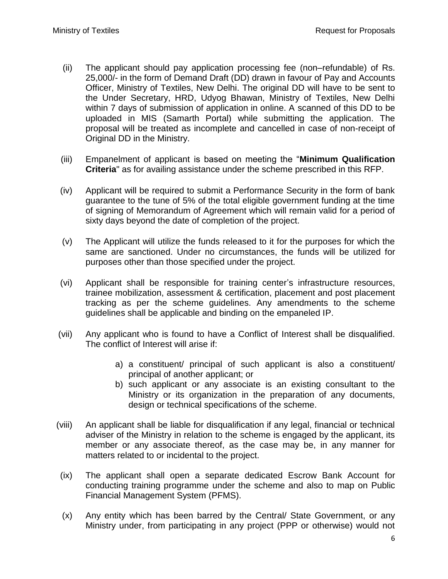- (ii) The applicant should pay application processing fee (non–refundable) of Rs. 25,000/- in the form of Demand Draft (DD) drawn in favour of Pay and Accounts Officer, Ministry of Textiles, New Delhi. The original DD will have to be sent to the Under Secretary, HRD, Udyog Bhawan, Ministry of Textiles, New Delhi within 7 days of submission of application in online. A scanned of this DD to be uploaded in MIS (Samarth Portal) while submitting the application. The proposal will be treated as incomplete and cancelled in case of non-receipt of Original DD in the Ministry.
- (iii) Empanelment of applicant is based on meeting the "**Minimum Qualification Criteria**" as for availing assistance under the scheme prescribed in this RFP.
- (iv) Applicant will be required to submit a Performance Security in the form of bank guarantee to the tune of 5% of the total eligible government funding at the time of signing of Memorandum of Agreement which will remain valid for a period of sixty days beyond the date of completion of the project.
- (v) The Applicant will utilize the funds released to it for the purposes for which the same are sanctioned. Under no circumstances, the funds will be utilized for purposes other than those specified under the project.
- (vi) Applicant shall be responsible for training center's infrastructure resources, trainee mobilization, assessment & certification, placement and post placement tracking as per the scheme guidelines. Any amendments to the scheme guidelines shall be applicable and binding on the empaneled IP.
- (vii) Any applicant who is found to have a Conflict of Interest shall be disqualified. The conflict of Interest will arise if:
	- a) a constituent/ principal of such applicant is also a constituent/ principal of another applicant; or
	- b) such applicant or any associate is an existing consultant to the Ministry or its organization in the preparation of any documents, design or technical specifications of the scheme.
- (viii) An applicant shall be liable for disqualification if any legal, financial or technical adviser of the Ministry in relation to the scheme is engaged by the applicant, its member or any associate thereof, as the case may be, in any manner for matters related to or incidental to the project.
- (ix) The applicant shall open a separate dedicated Escrow Bank Account for conducting training programme under the scheme and also to map on Public Financial Management System (PFMS).
- (x) Any entity which has been barred by the Central/ State Government, or any Ministry under, from participating in any project (PPP or otherwise) would not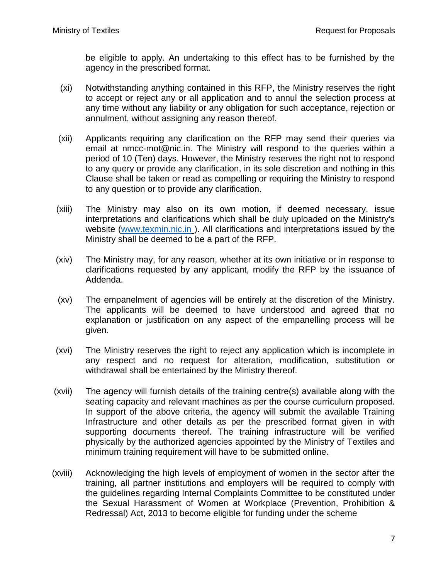be eligible to apply. An undertaking to this effect has to be furnished by the agency in the prescribed format.

- (xi) Notwithstanding anything contained in this RFP, the Ministry reserves the right to accept or reject any or all application and to annul the selection process at any time without any liability or any obligation for such acceptance, rejection or annulment, without assigning any reason thereof.
- (xii) Applicants requiring any clarification on the RFP may send their queries via email at nmcc-mot@nic.in. The Ministry will respond to the queries within a period of 10 (Ten) days. However, the Ministry reserves the right not to respond to any query or provide any clarification, in its sole discretion and nothing in this Clause shall be taken or read as compelling or requiring the Ministry to respond to any question or to provide any clarification.
- (xiii) The Ministry may also on its own motion, if deemed necessary, issue interpretations and clarifications which shall be duly uploaded on the Ministry's website [\(www.texmin.nic.in](http://www.texmin.nic.in/) ). All clarifications and interpretations issued by the Ministry shall be deemed to be a part of the RFP.
- (xiv) The Ministry may, for any reason, whether at its own initiative or in response to clarifications requested by any applicant, modify the RFP by the issuance of Addenda.
- (xv) The empanelment of agencies will be entirely at the discretion of the Ministry. The applicants will be deemed to have understood and agreed that no explanation or justification on any aspect of the empanelling process will be given.
- (xvi) The Ministry reserves the right to reject any application which is incomplete in any respect and no request for alteration, modification, substitution or withdrawal shall be entertained by the Ministry thereof.
- (xvii) The agency will furnish details of the training centre(s) available along with the seating capacity and relevant machines as per the course curriculum proposed. In support of the above criteria, the agency will submit the available Training Infrastructure and other details as per the prescribed format given in with supporting documents thereof. The training infrastructure will be verified physically by the authorized agencies appointed by the Ministry of Textiles and minimum training requirement will have to be submitted online.
- (xviii) Acknowledging the high levels of employment of women in the sector after the training, all partner institutions and employers will be required to comply with the guidelines regarding Internal Complaints Committee to be constituted under the Sexual Harassment of Women at Workplace (Prevention, Prohibition & Redressal) Act, 2013 to become eligible for funding under the scheme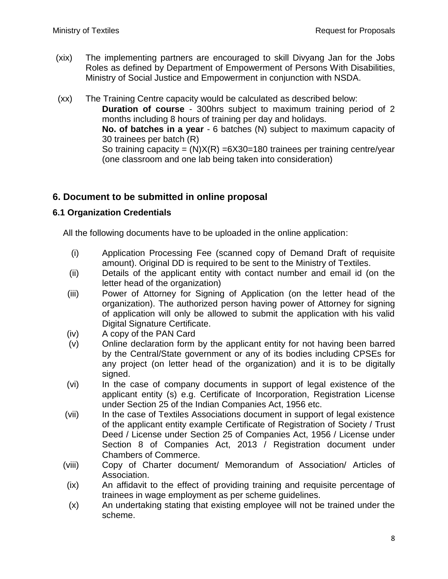- (xix) The implementing partners are encouraged to skill Divyang Jan for the Jobs Roles as defined by Department of Empowerment of Persons With Disabilities, Ministry of Social Justice and Empowerment in conjunction with NSDA.
- (xx) The Training Centre capacity would be calculated as described below: **Duration of course** - 300hrs subject to maximum training period of 2 months including 8 hours of training per day and holidays. **No. of batches in a year** - 6 batches (N) subject to maximum capacity of 30 trainees per batch (R) So training capacity =  $(N)X(R)$  =6X30=180 trainees per training centre/year (one classroom and one lab being taken into consideration)

### **6. Document to be submitted in online proposal**

#### **6.1 Organization Credentials**

All the following documents have to be uploaded in the online application:

- (i) Application Processing Fee (scanned copy of Demand Draft of requisite amount). Original DD is required to be sent to the Ministry of Textiles.
- (ii) Details of the applicant entity with contact number and email id (on the letter head of the organization)
- (iii) Power of Attorney for Signing of Application (on the letter head of the organization). The authorized person having power of Attorney for signing of application will only be allowed to submit the application with his valid Digital Signature Certificate.
- (iv) A copy of the PAN Card
- (v) Online declaration form by the applicant entity for not having been barred by the Central/State government or any of its bodies including CPSEs for any project (on letter head of the organization) and it is to be digitally signed.
- (vi) In the case of company documents in support of legal existence of the applicant entity (s) e.g. Certificate of Incorporation, Registration License under Section 25 of the Indian Companies Act, 1956 etc.
- (vii) In the case of Textiles Associations document in support of legal existence of the applicant entity example Certificate of Registration of Society / Trust Deed / License under Section 25 of Companies Act, 1956 / License under Section 8 of Companies Act, 2013 / Registration document under Chambers of Commerce.
- (viii) Copy of Charter document/ Memorandum of Association/ Articles of Association.
- (ix) An affidavit to the effect of providing training and requisite percentage of trainees in wage employment as per scheme guidelines.
- (x) An undertaking stating that existing employee will not be trained under the scheme.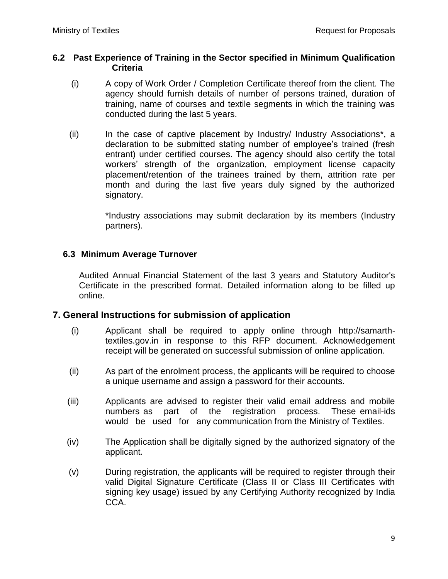#### **6.2 Past Experience of Training in the Sector specified in Minimum Qualification Criteria**

- (i) A copy of Work Order / Completion Certificate thereof from the client. The agency should furnish details of number of persons trained, duration of training, name of courses and textile segments in which the training was conducted during the last 5 years.
- (ii) In the case of captive placement by Industry/ Industry Associations\*, a declaration to be submitted stating number of employee's trained (fresh entrant) under certified courses. The agency should also certify the total workers' strength of the organization, employment license capacity placement/retention of the trainees trained by them, attrition rate per month and during the last five years duly signed by the authorized signatory.

\*Industry associations may submit declaration by its members (Industry partners).

#### **6.3 Minimum Average Turnover**

Audited Annual Financial Statement of the last 3 years and Statutory Auditor's Certificate in the prescribed format. Detailed information along to be filled up online.

#### **7. General Instructions for submission of application**

- (i) Applicant shall be required to apply online through http://samarthtextiles.gov.in in response to this RFP document. Acknowledgement receipt will be generated on successful submission of online application.
- (ii) As part of the enrolment process, the applicants will be required to choose a unique username and assign a password for their accounts.
- (iii) Applicants are advised to register their valid email address and mobile numbers as part of the registration process. These email-ids would be used for any communication from the Ministry of Textiles.
- (iv) The Application shall be digitally signed by the authorized signatory of the applicant.
- (v) During registration, the applicants will be required to register through their valid Digital Signature Certificate (Class II or Class III Certificates with signing key usage) issued by any Certifying Authority recognized by India CCA.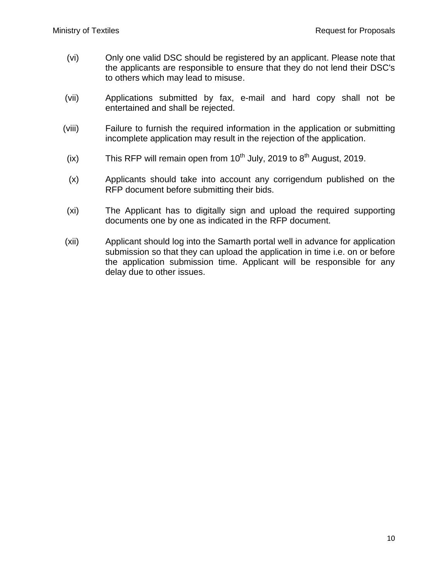- (vi) Only one valid DSC should be registered by an applicant. Please note that the applicants are responsible to ensure that they do not lend their DSC's to others which may lead to misuse.
- (vii) Applications submitted by fax, e-mail and hard copy shall not be entertained and shall be rejected.
- (viii) Failure to furnish the required information in the application or submitting incomplete application may result in the rejection of the application.
- (ix) This RFP will remain open from  $10^{th}$  July, 2019 to  $8^{th}$  August, 2019.
- (x) Applicants should take into account any corrigendum published on the RFP document before submitting their bids.
- (xi) The Applicant has to digitally sign and upload the required supporting documents one by one as indicated in the RFP document.
- (xii) Applicant should log into the Samarth portal well in advance for application submission so that they can upload the application in time i.e. on or before the application submission time. Applicant will be responsible for any delay due to other issues.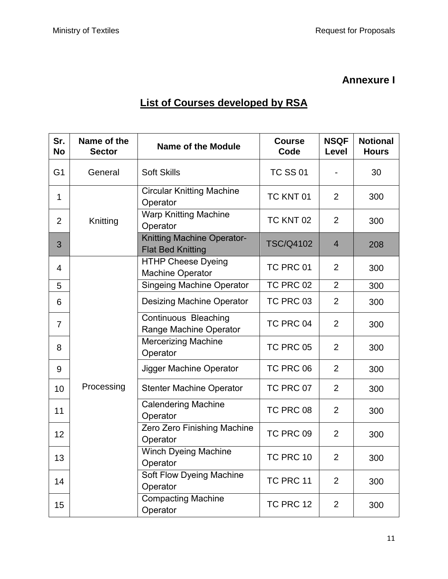## **Annexure I**

## **List of Courses developed by RSA**

| Sr.<br><b>No</b> | Name of the<br><b>Sector</b> | <b>Name of the Module</b>                                     | <b>Course</b><br>Code | <b>NSQF</b><br>Level | <b>Notional</b><br><b>Hours</b> |
|------------------|------------------------------|---------------------------------------------------------------|-----------------------|----------------------|---------------------------------|
| G <sub>1</sub>   | General                      | <b>Soft Skills</b>                                            | <b>TC SS 01</b>       |                      | 30                              |
| $\mathbf{1}$     |                              | <b>Circular Knitting Machine</b><br>Operator                  | TC KNT 01             | $\overline{2}$       | 300                             |
| $\overline{2}$   | Knitting                     | <b>Warp Knitting Machine</b><br>Operator                      | TC KNT 02             | 2                    | 300                             |
| 3                |                              | <b>Knitting Machine Operator-</b><br><b>Flat Bed Knitting</b> | <b>TSC/Q4102</b>      | $\overline{4}$       | 208                             |
| 4                |                              | <b>HTHP Cheese Dyeing</b><br><b>Machine Operator</b>          | TC PRC 01             | $\overline{2}$       | 300                             |
| 5                |                              | <b>Singeing Machine Operator</b>                              | TC PRC 02             | $\overline{2}$       | 300                             |
| 6                |                              | <b>Desizing Machine Operator</b>                              | TC PRC 03             | $\overline{2}$       | 300                             |
| $\overline{7}$   | Processing                   | Continuous Bleaching<br>Range Machine Operator                | TC PRC 04             | $\overline{2}$       | 300                             |
| 8                |                              | <b>Mercerizing Machine</b><br>Operator                        | TC PRC 05             | $\overline{2}$       | 300                             |
| 9                |                              | Jigger Machine Operator                                       | TC PRC 06             | $\overline{2}$       | 300                             |
| 10               |                              | <b>Stenter Machine Operator</b>                               | TC PRC 07             | $\overline{2}$       | 300                             |
| 11               |                              | <b>Calendering Machine</b><br>Operator                        | TC PRC 08             | $\overline{2}$       | 300                             |
| 12               |                              | Zero Zero Finishing Machine<br>Operator                       | TC PRC 09             | $\overline{2}$       | 300                             |
| 13               |                              | <b>Winch Dyeing Machine</b><br>Operator                       | TC PRC 10             | $\overline{2}$       | 300                             |
| 14               |                              | Soft Flow Dyeing Machine<br>Operator                          | TC PRC 11             | $\overline{2}$       | 300                             |
| 15               |                              | <b>Compacting Machine</b><br>Operator                         | TC PRC 12             | $\overline{2}$       | 300                             |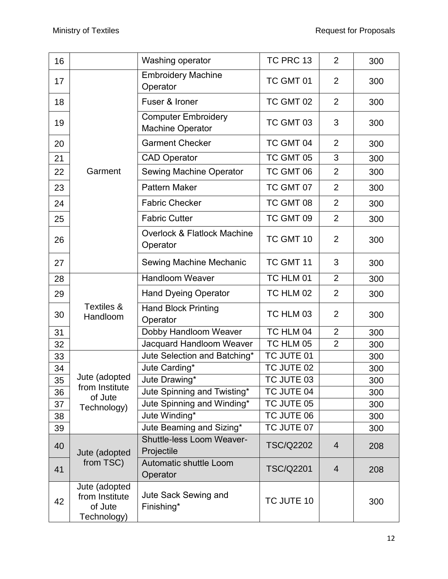| 16 |                                                           | Washing operator                                      | TC PRC 13        | $\overline{2}$ | 300 |
|----|-----------------------------------------------------------|-------------------------------------------------------|------------------|----------------|-----|
| 17 |                                                           | <b>Embroidery Machine</b><br>Operator                 | TC GMT 01        | $\overline{2}$ | 300 |
| 18 |                                                           | Fuser & Ironer                                        | TC GMT 02        | $\overline{2}$ | 300 |
| 19 |                                                           | <b>Computer Embroidery</b><br><b>Machine Operator</b> | TC GMT 03        | 3              | 300 |
| 20 |                                                           | <b>Garment Checker</b>                                | TC GMT 04        | $\overline{2}$ | 300 |
| 21 |                                                           | <b>CAD Operator</b>                                   | TC GMT 05        | 3              | 300 |
| 22 | Garment                                                   | <b>Sewing Machine Operator</b>                        | TC GMT 06        | $\overline{2}$ | 300 |
| 23 |                                                           | <b>Pattern Maker</b>                                  | TC GMT 07        | $\overline{2}$ | 300 |
| 24 |                                                           | <b>Fabric Checker</b>                                 | TC GMT 08        | $\overline{2}$ | 300 |
| 25 |                                                           | <b>Fabric Cutter</b>                                  | TC GMT 09        | $\overline{2}$ | 300 |
| 26 |                                                           | Overlock & Flatlock Machine<br>Operator               | TC GMT 10        | $\overline{2}$ | 300 |
| 27 |                                                           | Sewing Machine Mechanic                               | TC GMT 11        | 3              | 300 |
| 28 |                                                           | <b>Handloom Weaver</b>                                | TC HLM 01        | $\overline{2}$ | 300 |
| 29 |                                                           | <b>Hand Dyeing Operator</b>                           | TC HLM 02        | $\overline{2}$ | 300 |
| 30 | Textiles &<br>Handloom                                    | <b>Hand Block Printing</b><br>Operator                | TC HLM 03        | $\overline{2}$ | 300 |
| 31 |                                                           | Dobby Handloom Weaver                                 | TC HLM 04        | $\overline{2}$ | 300 |
| 32 |                                                           | Jacquard Handloom Weaver                              | TC HLM 05        | $\overline{2}$ | 300 |
| 33 |                                                           | Jute Selection and Batching*                          | TC JUTE 01       |                | 300 |
| 34 |                                                           | Jute Carding*                                         | TC JUTE 02       |                | 300 |
| 35 | Jute (adopted                                             | Jute Drawing*                                         | TC JUTE 03       |                | 300 |
| 36 | from Institute<br>of Jute                                 | Jute Spinning and Twisting*                           | TC JUTE 04       |                | 300 |
| 37 | Technology)                                               | Jute Spinning and Winding*                            | TC JUTE 05       |                | 300 |
| 38 |                                                           | Jute Winding*                                         | TC JUTE 06       |                | 300 |
| 39 |                                                           | Jute Beaming and Sizing*                              | TC JUTE 07       |                | 300 |
| 40 | Jute (adopted                                             | <b>Shuttle-less Loom Weaver-</b><br>Projectile        | <b>TSC/Q2202</b> | $\overline{4}$ | 208 |
| 41 | from TSC)                                                 | Automatic shuttle Loom<br>Operator                    | <b>TSC/Q2201</b> | $\overline{4}$ | 208 |
| 42 | Jute (adopted<br>from Institute<br>of Jute<br>Technology) | Jute Sack Sewing and<br>Finishing*                    | TC JUTE 10       |                | 300 |